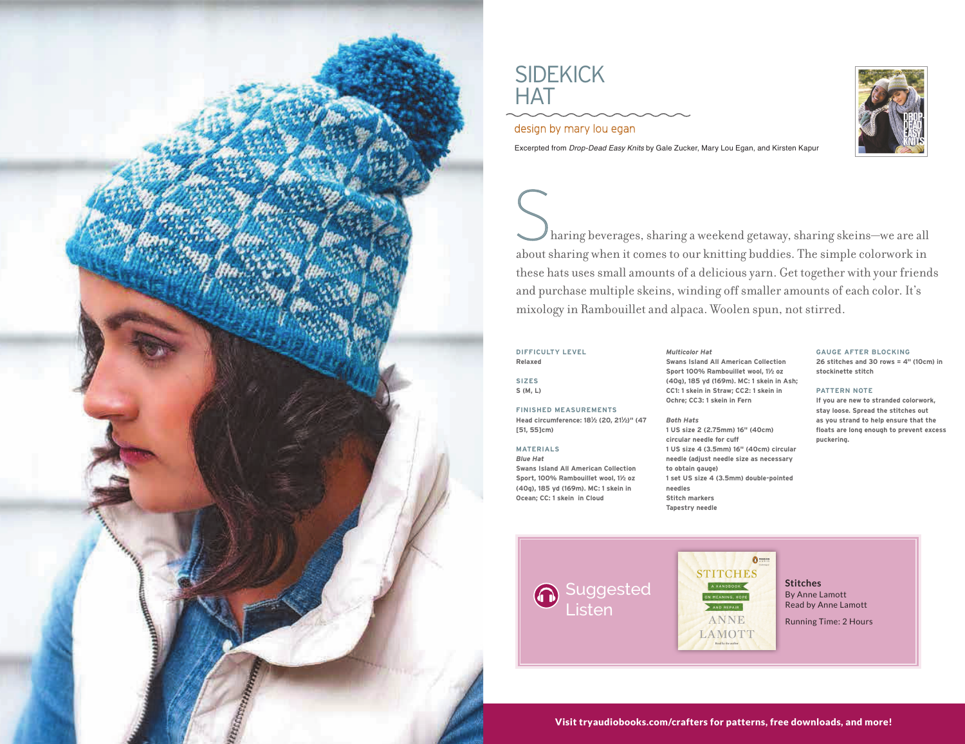

# **SIDEKICK HAT**  $\overline{\mathcal{O}}$ dentich by mary louis louis louis louis louis louis louis louis louis louis louis louis louis louis louis louis louis louis louis louis louis louis louis louis louis louis louis louis louis louis louis louis lo

 $\mathsf{S}$ design by mary lou egan

Excerpted from *Drop-Dead Easy Knits* by Gale Zucker, Mary Lou Egan, and Kirsten Kapur<br>.

Woolen spun, not stirred.<br>
Multicolor Hat GAUGE AFTER BLOCKING<br>
Swans Island All American Collection<br>
Sport 100% Ramboullet Wool, 1½ oz<br>
Sharing stockinette stitch<br>
Sharing Stockinette stitch<br>
Sharing Stockinette stitch Sharing beverages, sharing a weekend getaway, sharing skeins—we are about sharing when it comes to our knitting buddies. The simple colorwordnese hats uses small amounts of a delicious yarn. Get together with your i and purchase multiple skeins, winding off smaller amounts of each color. It's mixology in Rambouillet and alpaca. Woolen spun, not stirred. Sharing beverages, sharing a weekend getaway, sharing skeins—we are all and the simple colorwork in the simple color about sharing when it comes to our knitting buddies. The simple colorwork in these hats uses small amounts of a delicious yarn. Get together with your friends

## **DIFFICULTY LEVEL**  $Relaxed$

**S** (**M**, **L**) **SIZES Relaxed**

# **FINISHED MEASUREMENTS**

**Head circumference: 181/2 (20, 211/2)" (47 [51, 55]cm)** 

# **MATERIALS**

**Head contracts Swans Island All American Collection** Sport, 100% Rambouillet wool, 11/2 oz *Blue Hat*  **(40g), 185 yd (169m). MC: 1 skein in Sport, 100% Rambouillet wool, 11 ⁄2 oz**   $Ocean; CC: 1$  skein in Cloud

about sharing when it comes to our knitting buddies. The simple colorwork in **(40g), 185 yd (169m). MC: 1 skein in Ash; Sport 100% Rambouillet wool, 11 ⁄2 oz**  *Multicolor Hat* **CC1: 1 skein in Straw; CC2: 1 skein in (40g), 185 yd (169m). MC: 1 skein in Ash; Ochre; CC3: 1 skein in Fern** *Multicolor Hat* **Swans Island All American Collection**  *Multicolor Hat* **Sport 100% Rambouillet wool, 11 ⁄2 oz Swans Island All American Collection** 

#### **(40g), 185 yd (169m). MC: 1 skein in Ash;**  *Both Hats*

**CITEM MARKERS** mixology in Rambouillet and alpaca. Woolen spun, not stirred. **1 US size 4 (3.5mm) 16" (40cm) circular circular needle for cuff CC1: 1 skein in Straw; CC2: 1 skein in 1 US size 2 (2.75mm) 16" (40cm)**  *Both Hats*  $circular$  needle for cuff **1 US Size 1 (2.75mm)** 16 (3.5mm) 16 (3.5mm) 16 (3.5mm) 16 (3.5mm) 16 (3.5mm) 16 (3.5mm) 16 (3.5mm) 16 (3.5mm) 16 (3.5mm) 16 (3.5mm) 16 (3.5mm) 16 (3.5mm) 16 (3.5mm) 16 (3.5mm) 16 (3.5mm) 16 (3.5mm) 16 (3.6mm) 16 (3.6mm) 1 **circular needle for cuff 1 US size 4 (3.5mm) 16" (40cm) circular 1 set US size 4 (3.5mm) double-pointed to obtain gauge) needles to obtain gauge) Stitch markers needles to obtain gauge)** 

### **GAUGE AFTER BLOCKING**

**26 stitches and 30 rows = 4" (10cm) in**  $\mathsf{stochastic}\ \mathsf{stitch}$ 

#### **PATTERN NOTE**

Ochre; CC3: 1 skein in Fern<br> **If you are new to stranded colorwork,**<br> **PATTERN NOTES AND IN PATTERN NOTES AND INCREDICATE AND ADDED** l<sup>1</sup>/2)" (47 Both Hats as you strand to help ensure that the stitute of each color. It's a strand to help ensure that the stand to help ensure that the state of each color. It's a state of each color stranger in the strang stay loose. Spread the stitches out floats are long enough to prevent excess **puckering. stay loose. Spread the stitches out** 



**SIZES**

 $\mathbf{0}$ **FINISHED MEASUREMENTS Head circumstance: 181 ⁄2 (20, 211 ⁄2)" (47**  AND REPAIR ANNE

LAMOTT

**⁄2 oz** 

**Sports and the sport of the sport of the sport of the sport of the sport of the sport of the sport of the sport of the sport of the sport of the sport of the sport of the sport of the sport of the sport of the sport of th** 

**Tapestry needle**

**(40g), 185 yd (169m). MC: 1 skein in** 

*Both Hats* **Stitches 1 By Anne Lamott circular needle for cuff**  Read by Anne Lamott **1986** 

**(40g), 185 yd (169m). MC: 1 skein in Ash;** 

**Running Time: 2 Hours New Strate Strate Strategy** 

Visit tryaudiobooks.com/crafters for patterns, free downloads, and more!